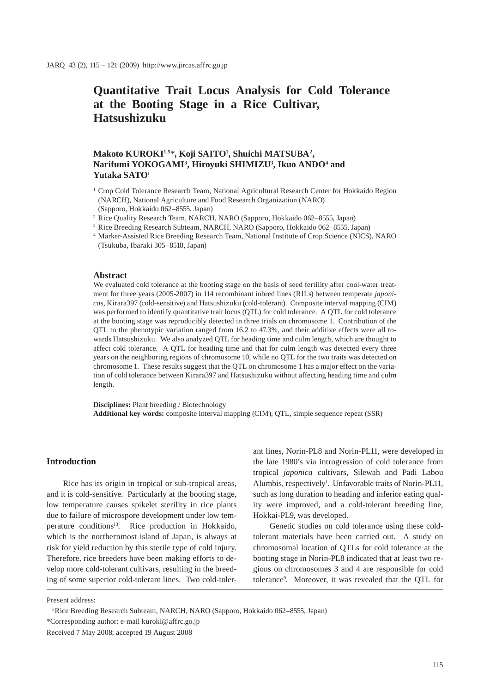# **Quantitative Trait Locus Analysis for Cold Tolerance at the Booting Stage in a Rice Cultivar, Hatsushizuku**

# **Makoto KUROKI1,5**\***, Koji SAITO1 , Shuichi MATSUBA2 , Narifumi YOKOGAMI3 , Hiroyuki SHIMIZU3 , Ikuo ANDO4 and Yutaka SATO1**

- <sup>1</sup> Crop Cold Tolerance Research Team, National Agricultural Research Center for Hokkaido Region (NARCH), National Agriculture and Food Research Organization (NARO) (Sapporo, Hokkaido 062–8555, Japan)
- 2 Rice Quality Research Team, NARCH, NARO (Sapporo, Hokkaido 062–8555, Japan)
- 3 Rice Breeding Research Subteam, NARCH, NARO (Sapporo, Hokkaido 062–8555, Japan)

## **Abstract**

We evaluated cold tolerance at the booting stage on the basis of seed fertility after cool-water treatment for three years (2005-2007) in 114 recombinant inbred lines (RILs) between temperate *japonica*s, Kirara397 (cold-sensitive) and Hatsushizuku (cold-tolerant). Composite interval mapping (CIM) was performed to identify quantitative trait locus (QTL) for cold tolerance. A QTL for cold tolerance at the booting stage was reproducibly detected in three trials on chromosome 1. Contribution of the QTL to the phenotypic variation ranged from 16.2 to 47.3%, and their additive effects were all towards Hatsushizuku. We also analyzed QTL for heading time and culm length, which are thought to affect cold tolerance. A QTL for heading time and that for culm length was detected every three years on the neighboring regions of chromosome 10, while no QTL for the two traits was detected on chromosome 1. These results suggest that the QTL on chromosome 1 has a major effect on the variation of cold tolerance between Kirara397 and Hatsushizuku without affecting heading time and culm length.

**Disciplines:** Plant breeding / Biotechnology **Additional key words:** composite interval mapping (CIM), QTL, simple sequence repeat (SSR)

## **Introduction**

Rice has its origin in tropical or sub-tropical areas, and it is cold-sensitive. Particularly at the booting stage, low temperature causes spikelet sterility in rice plants due to failure of microspore development under low temperature conditions<sup>13</sup>. Rice production in Hokkaido, which is the northernmost island of Japan, is always at risk for yield reduction by this sterile type of cold injury. Therefore, rice breeders have been making efforts to develop more cold-tolerant cultivars, resulting in the breeding of some superior cold-tolerant lines. Two cold-tolerant lines, Norin-PL8 and Norin-PL11, were developed in the late 1980's via introgression of cold tolerance from tropical *japonica* cultivars, Silewah and Padi Labou Alumbis, respectively<sup>1</sup>. Unfavorable traits of Norin-PL11, such as long duration to heading and inferior eating quality were improved, and a cold-tolerant breeding line, Hokkai-PL9, was developed.

Genetic studies on cold tolerance using these coldtolerant materials have been carried out. A study on chromosomal location of QTLs for cold tolerance at the booting stage in Norin-PL8 indicated that at least two regions on chromosomes 3 and 4 are responsible for cold tolerance9 . Moreover, it was revealed that the QTL for

Present address:

<sup>4</sup> Marker-Assisted Rice Breeding Research Team, National Institute of Crop Science (NICS), NARO (Tsukuba, Ibaraki 305–8518, Japan)

 <sup>5</sup> Rice Breeding Research Subteam, NARCH, NARO (Sapporo, Hokkaido 062–8555, Japan)

<sup>\*</sup>Corresponding author: e-mail kuroki@affrc.go.jp

Received 7 May 2008; accepted 19 August 2008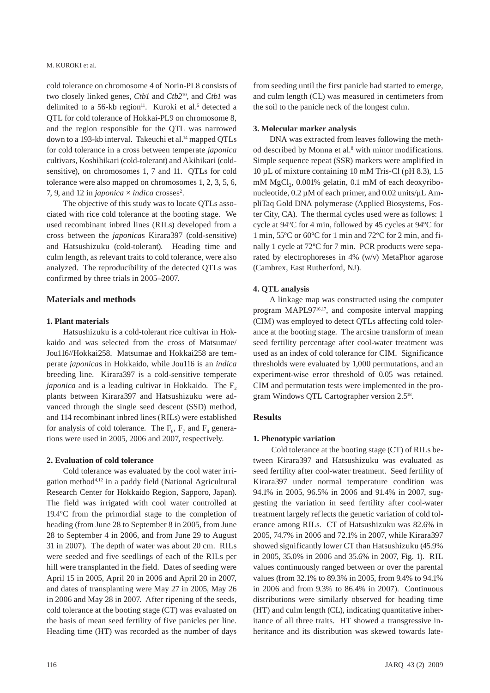cold tolerance on chromosome 4 of Norin-PL8 consists of two closely linked genes, *Ctb1* and *Ctb2*10, and *Ctb1* was delimited to a  $56$ -kb region<sup>11</sup>. Kuroki et al.<sup>6</sup> detected a QTL for cold tolerance of Hokkai-PL9 on chromosome 8, and the region responsible for the QTL was narrowed down to a 193-kb interval. Takeuchi et al.<sup>14</sup> mapped QTLs for cold tolerance in a cross between temperate *japonica* cultivars, Koshihikari (cold-tolerant) and Akihikari (coldsensitive), on chromosomes 1, 7 and 11. QTLs for cold tolerance were also mapped on chromosomes 1, 2, 3, 5, 6, 7, 9, and 12 in *japonica*  $\times$  *indica* crosses<sup>2</sup>.

The objective of this study was to locate QTLs associated with rice cold tolerance at the booting stage. We used recombinant inbred lines (RILs) developed from a cross between the *japonica*s Kirara397 (cold-sensitive) and Hatsushizuku (cold-tolerant). Heading time and culm length, as relevant traits to cold tolerance, were also analyzed. The reproducibility of the detected QTLs was confirmed by three trials in 2005–2007.

#### **Materials and methods**

## **1. Plant materials**

Hatsushizuku is a cold-tolerant rice cultivar in Hokkaido and was selected from the cross of Matsumae/ Jou116//Hokkai258. Matsumae and Hokkai258 are temperate *japonica*s in Hokkaido, while Jou116 is an *indica* breeding line. Kirara397 is a cold-sensitive temperate *japonica* and is a leading cultivar in Hokkaido. The  $F<sub>2</sub>$ plants between Kirara397 and Hatsushizuku were advanced through the single seed descent (SSD) method, and 114 recombinant inbred lines (RILs) were established for analysis of cold tolerance. The  $F_6$ ,  $F_7$  and  $F_8$  generations were used in 2005, 2006 and 2007, respectively.

### **2. Evaluation of cold tolerance**

Cold tolerance was evaluated by the cool water irrigation method4,12 in a paddy field (National Agricultural Research Center for Hokkaido Region, Sapporo, Japan). The field was irrigated with cool water controlled at 19.4ºC from the primordial stage to the completion of heading (from June 28 to September 8 in 2005, from June 28 to September 4 in 2006, and from June 29 to August 31 in 2007). The depth of water was about 20 cm. RILs were seeded and five seedlings of each of the RILs per hill were transplanted in the field. Dates of seeding were April 15 in 2005, April 20 in 2006 and April 20 in 2007, and dates of transplanting were May 27 in 2005, May 26 in 2006 and May 28 in 2007. After ripening of the seeds, cold tolerance at the booting stage (CT) was evaluated on the basis of mean seed fertility of five panicles per line. Heading time (HT) was recorded as the number of days

### **3. Molecular marker analysis**

DNA was extracted from leaves following the method described by Monna et al.<sup>8</sup> with minor modifications. Simple sequence repeat (SSR) markers were amplified in 10 µL of mixture containing 10 mM Tris-Cl (pH 8.3), 1.5 mM  $MgCl<sub>2</sub>$ , 0.001% gelatin, 0.1 mM of each deoxyribonucleotide,  $0.2 \mu M$  of each primer, and  $0.02 \text{ units}/\mu L$  AmpliTaq Gold DNA polymerase (Applied Biosystems, Foster City, CA). The thermal cycles used were as follows: 1 cycle at 94ºC for 4 min, followed by 45 cycles at 94ºC for 1 min, 55ºC or 60ºC for 1 min and 72ºC for 2 min, and finally 1 cycle at 72ºC for 7 min. PCR products were separated by electrophoreses in 4% (w/v) MetaPhor agarose (Cambrex, East Rutherford, NJ).

## **4. QTL analysis**

A linkage map was constructed using the computer program MAPL9716,17, and composite interval mapping (CIM) was employed to detect QTLs affecting cold tolerance at the booting stage. The arcsine transform of mean seed fertility percentage after cool-water treatment was used as an index of cold tolerance for CIM. Significance thresholds were evaluated by 1,000 permutations, and an experiment-wise error threshold of 0.05 was retained. CIM and permutation tests were implemented in the program Windows QTL Cartographer version 2.518.

# **Results**

## **1. Phenotypic variation**

 Cold tolerance at the booting stage (CT) of RILs between Kirara397 and Hatsushizuku was evaluated as seed fertility after cool-water treatment. Seed fertility of Kirara397 under normal temperature condition was 94.1% in 2005, 96.5% in 2006 and 91.4% in 2007, suggesting the variation in seed fertility after cool-water treatment largely reflects the genetic variation of cold tolerance among RILs. CT of Hatsushizuku was 82.6% in 2005, 74.7% in 2006 and 72.1% in 2007, while Kirara397 showed significantly lower CT than Hatsushizuku (45.9% in 2005, 35.0% in 2006 and 35.6% in 2007, Fig. 1). RIL values continuously ranged between or over the parental values (from 32.1% to 89.3% in 2005, from 9.4% to 94.1% in 2006 and from 9.3% to 86.4% in 2007). Continuous distributions were similarly observed for heading time (HT) and culm length (CL), indicating quantitative inheritance of all three traits. HT showed a transgressive inheritance and its distribution was skewed towards late-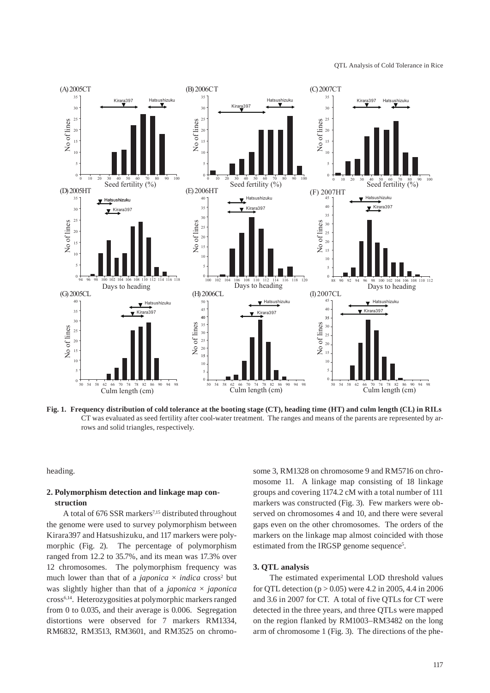

**Fig. 1. Frequency distribution of cold tolerance at the booting stage (CT), heading time (HT) and culm length (CL) in RILs**  CT was evaluated as seed fertility after cool-water treatment. The ranges and means of the parents are represented by arrows and solid triangles, respectively.

heading.

# **2. Polymorphism detection and linkage map construction**

A total of 676 SSR markers<sup>7,15</sup> distributed throughout the genome were used to survey polymorphism between Kirara397 and Hatsushizuku, and 117 markers were polymorphic (Fig. 2). The percentage of polymorphism ranged from 12.2 to 35.7%, and its mean was 17.3% over 12 chromosomes. The polymorphism frequency was much lower than that of a *japonica*  $\times$  *indica* cross<sup>2</sup> but was slightly higher than that of a *japonica* × *japonica* cross6,14. Heterozygosities at polymorphic markers ranged from 0 to 0.035, and their average is 0.006. Segregation distortions were observed for 7 markers RM1334, RM6832, RM3513, RM3601, and RM3525 on chromosome 3, RM1328 on chromosome 9 and RM5716 on chromosome 11. A linkage map consisting of 18 linkage groups and covering 1174.2 cM with a total number of 111 markers was constructed (Fig. 3). Few markers were observed on chromosomes 4 and 10, and there were several gaps even on the other chromosomes. The orders of the markers on the linkage map almost coincided with those estimated from the IRGSP genome sequence<sup>5</sup>.

# **3. QTL analysis**

The estimated experimental LOD threshold values for QTL detection ( $p > 0.05$ ) were 4.2 in 2005, 4.4 in 2006 and 3.6 in 2007 for CT. A total of five QTLs for CT were detected in the three years, and three QTLs were mapped on the region flanked by RM1003–RM3482 on the long arm of chromosome 1 (Fig. 3). The directions of the phe-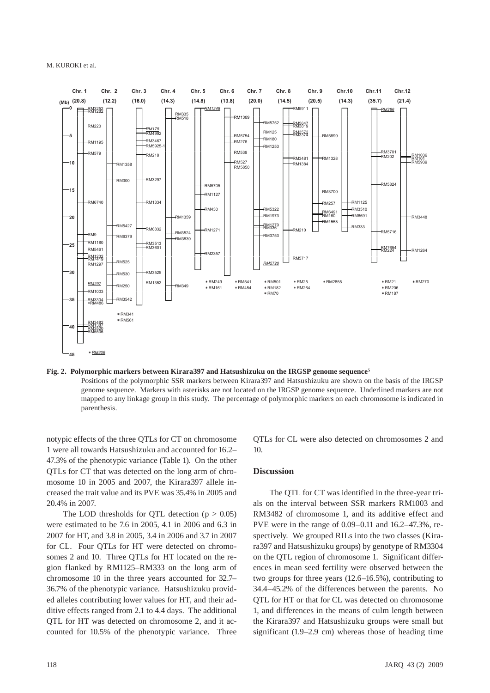

#### **Fig. 2. Polymorphic markers between Kirara397 and Hatsushizuku on the IRGSP genome sequence5**

Positions of the polymorphic SSR markers between Kirara397 and Hatsushizuku are shown on the basis of the IRGSP genome sequence. Markers with asterisks are not located on the IRGSP genome sequence. Underlined markers are not mapped to any linkage group in this study. The percentage of polymorphic markers on each chromosome is indicated in parenthesis.

notypic effects of the three QTLs for CT on chromosome 1 were all towards Hatsushizuku and accounted for 16.2– 47.3% of the phenotypic variance (Table 1). On the other QTLs for CT that was detected on the long arm of chromosome 10 in 2005 and 2007, the Kirara397 allele increased the trait value and its PVE was 35.4% in 2005 and 20.4% in 2007.

The LOD thresholds for QTL detection  $(p > 0.05)$ were estimated to be 7.6 in 2005, 4.1 in 2006 and 6.3 in 2007 for HT, and 3.8 in 2005, 3.4 in 2006 and 3.7 in 2007 for CL. Four QTLs for HT were detected on chromosomes 2 and 10. Three QTLs for HT located on the region flanked by RM1125–RM333 on the long arm of chromosome 10 in the three years accounted for 32.7– 36.7% of the phenotypic variance. Hatsushizuku provided alleles contributing lower values for HT, and their additive effects ranged from 2.1 to 4.4 days. The additional QTL for HT was detected on chromosome 2, and it accounted for 10.5% of the phenotypic variance. Three QTLs for CL were also detected on chromosomes 2 and 10.

#### **Discussion**

The QTL for CT was identified in the three-year trials on the interval between SSR markers RM1003 and RM3482 of chromosome 1, and its additive effect and PVE were in the range of 0.09–0.11 and 16.2–47.3%, respectively. We grouped RILs into the two classes (Kirara397 and Hatsushizuku groups) by genotype of RM3304 on the QTL region of chromosome 1. Significant differences in mean seed fertility were observed between the two groups for three years (12.6–16.5%), contributing to 34.4–45.2% of the differences between the parents. No QTL for HT or that for CL was detected on chromosome 1, and differences in the means of culm length between the Kirara397 and Hatsushizuku groups were small but significant (1.9–2.9 cm) whereas those of heading time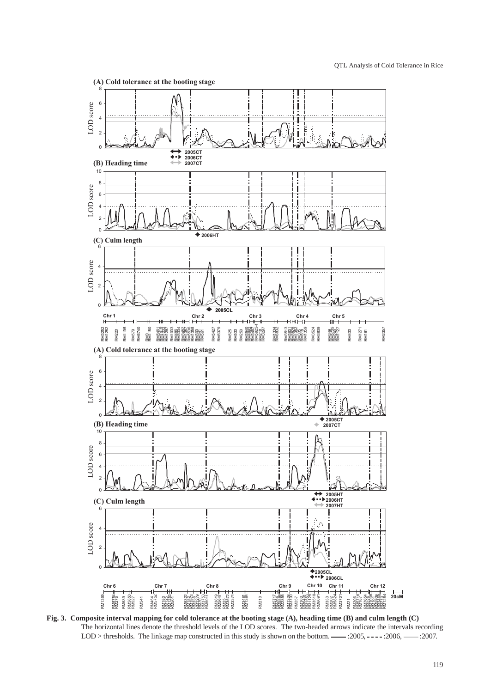

**Fig. 3. Composite interval mapping for cold tolerance at the booting stage (A), heading time (B) and culm length (C)** The horizontal lines denote the threshold levels of the LOD scores. The two-headed arrows indicate the intervals recording LOD > thresholds. The linkage map constructed in this study is shown on the bottom. :2005, :2006, :2007.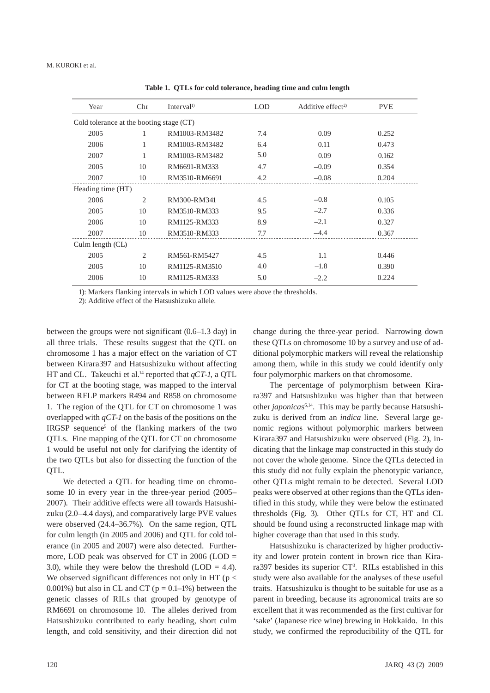| Year                                     | Chr            | Interval <sup>1</sup> | <b>LOD</b> | Additive effect <sup>2)</sup> | <b>PVE</b> |
|------------------------------------------|----------------|-----------------------|------------|-------------------------------|------------|
| Cold tolerance at the booting stage (CT) |                |                       |            |                               |            |
| 2005                                     | 1              | RM1003-RM3482         | 7.4        | 0.09                          | 0.252      |
| 2006                                     | 1              | RM1003-RM3482         | 6.4        | 0.11                          | 0.473      |
| 2007                                     | 1              | RM1003-RM3482         | 5.0        | 0.09                          | 0.162      |
| 2005                                     | 10             | RM6691-RM333          | 4.7        | $-0.09$                       | 0.354      |
| 2007                                     | 10             | RM3510-RM6691         | 4.2        | $-0.08$                       | 0.204      |
| Heading time (HT)                        |                |                       |            |                               |            |
| 2006                                     | $\overline{c}$ | RM300-RM341           | 4.5        | $-0.8$                        | 0.105      |
| 2005                                     | 10             | RM3510-RM333          | 9.5        | $-2.7$                        | 0.336      |
| 2006                                     | 10             | RM1125-RM333          | 8.9        | $-2.1$                        | 0.327      |
| 2007                                     | 10             | RM3510-RM333          | 7.7        | $-4.4$                        | 0.367      |
| Culm length (CL)                         |                |                       |            |                               |            |
| 2005                                     | $\overline{c}$ | RM561-RM5427          | 4.5        | 1.1                           | 0.446      |
| 2005                                     | 10             | RM1125-RM3510         | 4.0        | $-1.8$                        | 0.390      |
| 2006                                     | 10             | RM1125-RM333          | 5.0        | $-2.2$                        | 0.224      |

**Table 1. QTLs for cold tolerance, heading time and culm length**

1): Markers flanking intervals in which LOD values were above the thresholds.

2): Additive effect of the Hatsushizuku allele.

between the groups were not significant (0.6–1.3 day) in all three trials. These results suggest that the QTL on chromosome 1 has a major effect on the variation of CT between Kirara397 and Hatsushizuku without affecting HT and CL. Takeuchi et al.<sup>14</sup> reported that *qCT-1*, a QTL for CT at the booting stage, was mapped to the interval between RFLP markers R494 and R858 on chromosome 1. The region of the QTL for CT on chromosome 1 was overlapped with *qCT-1* on the basis of the positions on the IRGSP sequence<sup>5</sup> of the flanking markers of the two QTLs. Fine mapping of the QTL for CT on chromosome 1 would be useful not only for clarifying the identity of the two QTLs but also for dissecting the function of the OTL.

We detected a QTL for heading time on chromosome 10 in every year in the three-year period (2005– 2007). Their additive effects were all towards Hatsushizuku (2.0–4.4 days), and comparatively large PVE values were observed (24.4–36.7%). On the same region, QTL for culm length (in 2005 and 2006) and QTL for cold tolerance (in 2005 and 2007) were also detected. Furthermore, LOD peak was observed for CT in 2006 (LOD = 3.0), while they were below the threshold  $(LOD = 4.4)$ . We observed significant differences not only in HT ( $p <$ 0.001%) but also in CL and CT ( $p = 0.1-1$ %) between the genetic classes of RILs that grouped by genotype of RM6691 on chromosome 10. The alleles derived from Hatsushizuku contributed to early heading, short culm length, and cold sensitivity, and their direction did not

change during the three-year period. Narrowing down these QTLs on chromosome 10 by a survey and use of additional polymorphic markers will reveal the relationship among them, while in this study we could identify only four polymorphic markers on that chromosome.

The percentage of polymorphism between Kirara397 and Hatsushizuku was higher than that between other *japonicas*<sup>6,14</sup>. This may be partly because Hatsushizuku is derived from an *indica* line. Several large genomic regions without polymorphic markers between Kirara397 and Hatsushizuku were observed (Fig. 2), indicating that the linkage map constructed in this study do not cover the whole genome. Since the QTLs detected in this study did not fully explain the phenotypic variance, other QTLs might remain to be detected. Several LOD peaks were observed at other regions than the QTLs identified in this study, while they were below the estimated thresholds (Fig. 3). Other QTLs for CT, HT and CL should be found using a reconstructed linkage map with higher coverage than that used in this study.

Hatsushizuku is characterized by higher productivity and lower protein content in brown rice than Kirara397 besides its superior CT<sup>3</sup>. RILs established in this study were also available for the analyses of these useful traits. Hatsushizuku is thought to be suitable for use as a parent in breeding, because its agronomical traits are so excellent that it was recommended as the first cultivar for 'sake' (Japanese rice wine) brewing in Hokkaido. In this study, we confirmed the reproducibility of the QTL for